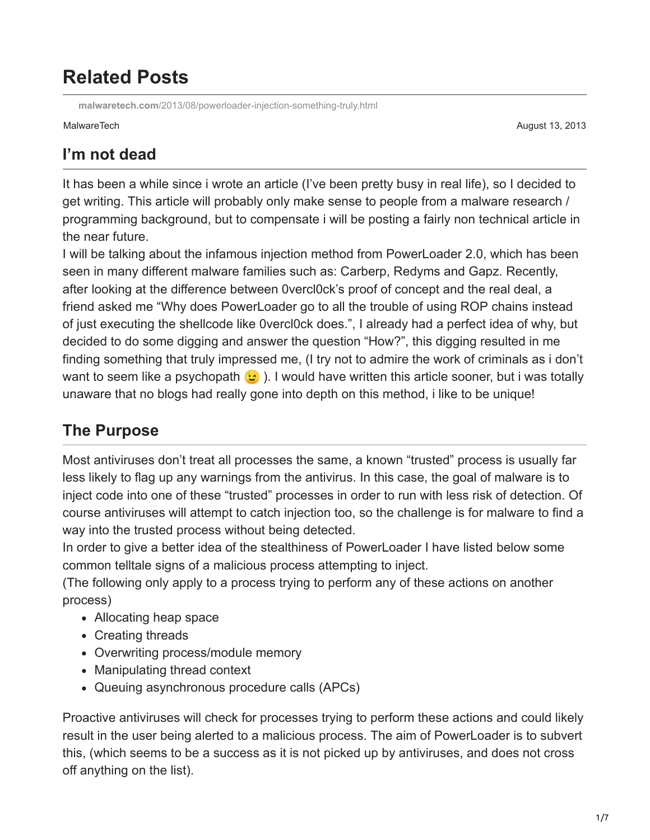# **Related Posts**

**malwaretech.com**[/2013/08/powerloader-injection-something-truly.html](https://www.malwaretech.com/2013/08/powerloader-injection-something-truly.html)

MalwareTech August 13, 2013

### **I'm not dead**

It has been a while since i wrote an article (I've been pretty busy in real life), so I decided to get writing. This article will probably only make sense to people from a malware research / programming background, but to compensate i will be posting a fairly non technical article in the near future.

I will be talking about the infamous injection method from PowerLoader 2.0, which has been seen in many different malware families such as: Carberp, Redyms and Gapz. Recently, after looking at the difference between 0vercl0ck's proof of concept and the real deal, a friend asked me "Why does PowerLoader go to all the trouble of using ROP chains instead of just executing the shellcode like 0vercl0ck does.", I already had a perfect idea of why, but decided to do some digging and answer the question "How?", this digging resulted in me finding something that truly impressed me, (I try not to admire the work of criminals as i don't want to seem like a psychopath  $\odot$ ). I would have written this article sooner, but i was totally unaware that no blogs had really gone into depth on this method, i like to be unique!

# **The Purpose**

Most antiviruses don't treat all processes the same, a known "trusted" process is usually far less likely to flag up any warnings from the antivirus. In this case, the goal of malware is to inject code into one of these "trusted" processes in order to run with less risk of detection. Of course antiviruses will attempt to catch injection too, so the challenge is for malware to find a way into the trusted process without being detected.

In order to give a better idea of the stealthiness of PowerLoader I have listed below some common telltale signs of a malicious process attempting to inject.

(The following only apply to a process trying to perform any of these actions on another process)

- Allocating heap space
- Creating threads
- Overwriting process/module memory
- Manipulating thread context
- Queuing asynchronous procedure calls (APCs)

Proactive antiviruses will check for processes trying to perform these actions and could likely result in the user being alerted to a malicious process. The aim of PowerLoader is to subvert this, (which seems to be a success as it is not picked up by antiviruses, and does not cross off anything on the list).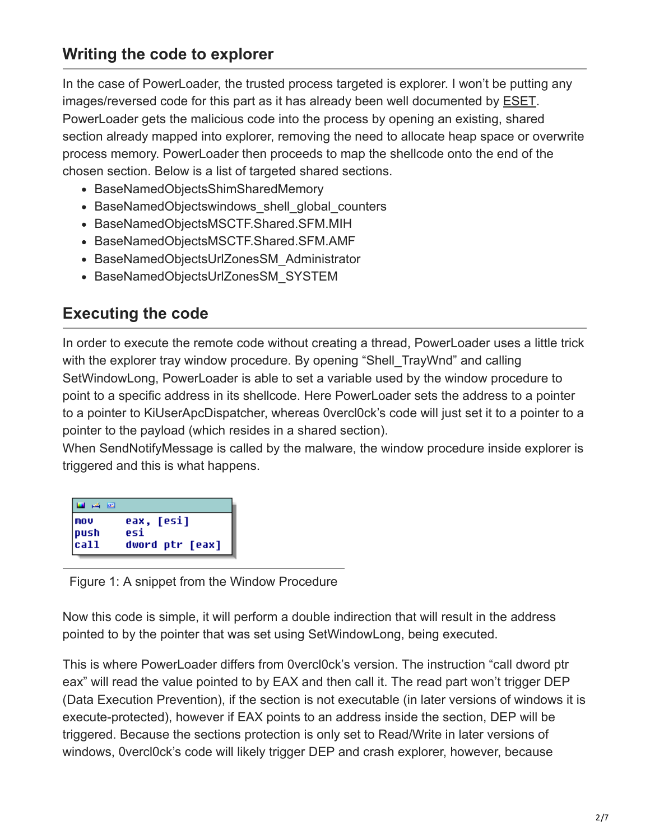#### **Writing the code to explorer**

In the case of PowerLoader, the trusted process targeted is explorer. I won't be putting any images/reversed code for this part as it has already been well documented by [ESET.](http://www.welivesecurity.com/2012/12/27/win32gapz-steps-of-evolution/) PowerLoader gets the malicious code into the process by opening an existing, shared section already mapped into explorer, removing the need to allocate heap space or overwrite process memory. PowerLoader then proceeds to map the shellcode onto the end of the chosen section. Below is a list of targeted shared sections.

- BaseNamedObjectsShimSharedMemory
- BaseNamedObjectswindows shell global counters
- BaseNamedObjectsMSCTF.Shared.SFM.MIH
- BaseNamedObjectsMSCTF.Shared.SFM.AMF
- BaseNamedObjectsUrlZonesSM\_Administrator
- BaseNamedObjectsUrlZonesSM\_SYSTEM

#### **Executing the code**

In order to execute the remote code without creating a thread, PowerLoader uses a little trick with the explorer tray window procedure. By opening "Shell TrayWnd" and calling SetWindowLong, PowerLoader is able to set a variable used by the window procedure to point to a specific address in its shellcode. Here PowerLoader sets the address to a pointer to a pointer to KiUserApcDispatcher, whereas 0vercl0ck's code will just set it to a pointer to a pointer to the payload (which resides in a shared section).

When SendNotifyMessage is called by the malware, the window procedure inside explorer is triggered and this is what happens.

| اتتعا نكسو             |                 |
|------------------------|-----------------|
| l mov                  | eax, [esi]      |
| $ {\text{push}} $ call | esi             |
|                        | dword ptr [eax] |

Figure 1: A snippet from the Window Procedure

Now this code is simple, it will perform a double indirection that will result in the address pointed to by the pointer that was set using SetWindowLong, being executed.

This is where PowerLoader differs from 0vercl0ck's version. The instruction "call dword ptr eax" will read the value pointed to by EAX and then call it. The read part won't trigger DEP (Data Execution Prevention), if the section is not executable (in later versions of windows it is execute-protected), however if EAX points to an address inside the section, DEP will be triggered. Because the sections protection is only set to Read/Write in later versions of windows, 0vercl0ck's code will likely trigger DEP and crash explorer, however, because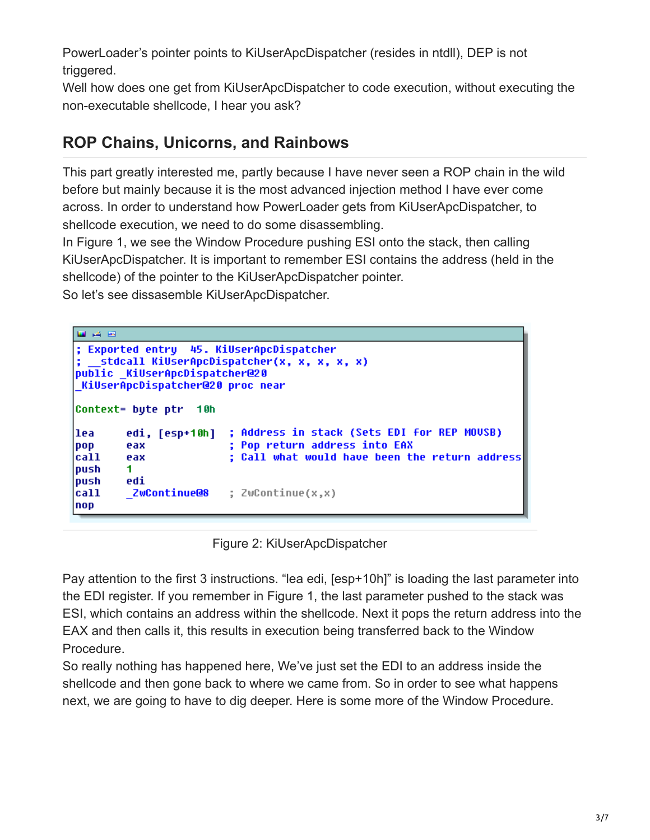PowerLoader's pointer points to KiUserApcDispatcher (resides in ntdll), DEP is not triggered.

Well how does one get from KiUserApcDispatcher to code execution, without executing the non-executable shellcode, I hear you ask?

#### **ROP Chains, Unicorns, and Rainbows**

This part greatly interested me, partly because I have never seen a ROP chain in the wild before but mainly because it is the most advanced injection method I have ever come across. In order to understand how PowerLoader gets from KiUserApcDispatcher, to shellcode execution, we need to do some disassembling.

In Figure 1, we see the Window Procedure pushing ESI onto the stack, then calling KiUserApcDispatcher. It is important to remember ESI contains the address (held in the shellcode) of the pointer to the KiUserApcDispatcher pointer.

So let's see dissasemble KiUserApcDispatcher.

```
国西西
; Exported entry
                 45. KiUserApcDispatcher
  stdcall KiUserApcDispatcher(x, x, x, x, x)
public KiUserApcDispatcher@20
KiUserApcDispatcher@20 proc near
Context= bute ptr 10h
                       ; Address in stack (Sets EDI for REP MOUSB)
lea
        edi, [esp+10h]
                        ; Pop return address into EAX
DOD
        eax
                        ; Call what would have been the return address
call
        eax
push
        1.
        edi
push
        ZwContinue@8
                        ; ZwContinue(x,x)
call
nop
```
#### Figure 2: KiUserApcDispatcher

Pay attention to the first 3 instructions. "lea edi, [esp+10h]" is loading the last parameter into the EDI register. If you remember in Figure 1, the last parameter pushed to the stack was ESI, which contains an address within the shellcode. Next it pops the return address into the EAX and then calls it, this results in execution being transferred back to the Window Procedure.

So really nothing has happened here, We've just set the EDI to an address inside the shellcode and then gone back to where we came from. So in order to see what happens next, we are going to have to dig deeper. Here is some more of the Window Procedure.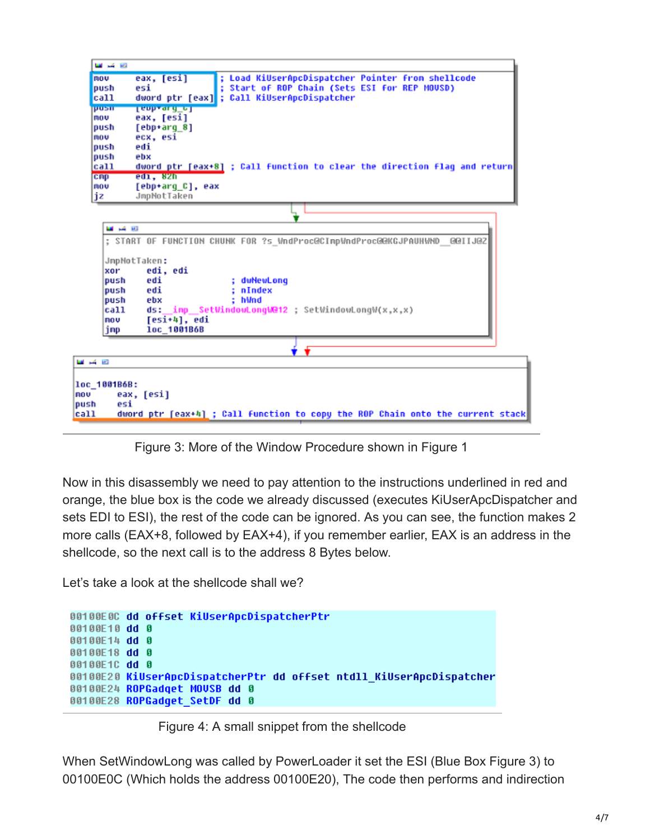| mou                                               | eax, [esi]<br>; Load KiUserApcDispatcher Pointer from shellcode                                                                                                                  |
|---------------------------------------------------|----------------------------------------------------------------------------------------------------------------------------------------------------------------------------------|
| push                                              | ; Start of ROP Chain (Sets ESI for REP MOUSD)<br>esi                                                                                                                             |
| call                                              | dword ptr [eax] ; Call KiUserApcDispatcher                                                                                                                                       |
| pusin<br>mou                                      | <b>Lenprary of</b><br>eax, [esi]                                                                                                                                                 |
| push                                              | [ebp+arg 8]                                                                                                                                                                      |
| mou                                               | ecx. esi                                                                                                                                                                         |
| push                                              | edi                                                                                                                                                                              |
| push                                              | ebx                                                                                                                                                                              |
| call                                              | dword ptr [eax+8] ; Call function to clear the direction flag and return                                                                                                         |
| cmp                                               | edi, 82h                                                                                                                                                                         |
| mou                                               | [ebp+arq C], eax<br>JmpNotTaken                                                                                                                                                  |
| jz                                                |                                                                                                                                                                                  |
|                                                   |                                                                                                                                                                                  |
| <b>MAG 1992</b>                                   |                                                                                                                                                                                  |
|                                                   | ; START OF FUNCTION CHUNK FOR ?s_WndProc@CImpWndProc@@KGJPAUHWND_@@IIJ@Z                                                                                                         |
| xor<br>push<br>push<br>push<br>call<br>nov<br>imp | JmpNotTaken:<br>edi. edi<br>edi<br>: dwNewLong<br>: nIndex<br>edi<br>: hWnd<br>ebx<br>imp SetWindowLongW@12 : SetWindowLongW(x,x,x)<br>ds:<br>$[$ esi $+4$ ], edi<br>1oc_1001B6B |
|                                                   |                                                                                                                                                                                  |
| 四 道 四                                             |                                                                                                                                                                                  |
| loc 1001B6B:<br>nov                               |                                                                                                                                                                                  |
| esi<br>push                                       | eax, [esi]<br>dword ptr [eax+4] ; Call function to copy the ROP Chain onto the current stack                                                                                     |

Figure 3: More of the Window Procedure shown in Figure 1

Now in this disassembly we need to pay attention to the instructions underlined in red and orange, the blue box is the code we already discussed (executes KiUserApcDispatcher and sets EDI to ESI), the rest of the code can be ignored. As you can see, the function makes 2 more calls (EAX+8, followed by EAX+4), if you remember earlier, EAX is an address in the shellcode, so the next call is to the address 8 Bytes below.

Let's take a look at the shellcode shall we?

```
00100E0C dd offset KiUserApcDispatcherPtr
00100E10 dd 0
00100E14 dd 0
00100E18 dd 0
00100E1C dd 0
00100E20 KiUserApcDispatcherPtr dd offset ntdll KiUserApcDispatcher
00100E24 ROPGadget MOUSB dd 0
00100E28 ROPGadget SetDF dd 0
```
Figure 4: A small snippet from the shellcode

When SetWindowLong was called by PowerLoader it set the ESI (Blue Box Figure 3) to 00100E0C (Which holds the address 00100E20), The code then performs and indirection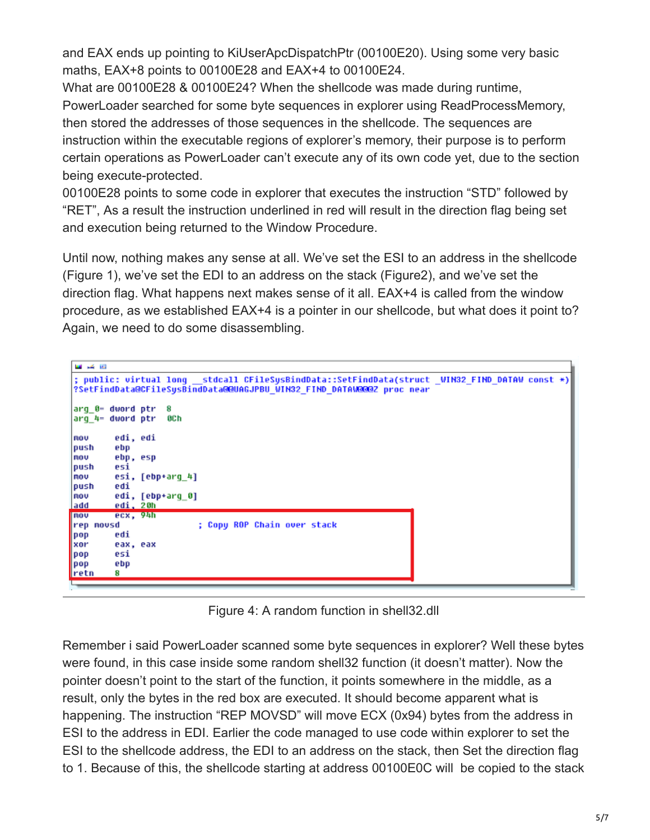and EAX ends up pointing to KiUserApcDispatchPtr (00100E20). Using some very basic maths, EAX+8 points to 00100E28 and EAX+4 to 00100E24.

What are 00100E28 & 00100E24? When the shellcode was made during runtime, PowerLoader searched for some byte sequences in explorer using ReadProcessMemory, then stored the addresses of those sequences in the shellcode. The sequences are instruction within the executable regions of explorer's memory, their purpose is to perform certain operations as PowerLoader can't execute any of its own code yet, due to the section being execute-protected.

00100E28 points to some code in explorer that executes the instruction "STD" followed by "RET", As a result the instruction underlined in red will result in the direction flag being set and execution being returned to the Window Procedure.

Until now, nothing makes any sense at all. We've set the ESI to an address in the shellcode (Figure 1), we've set the EDI to an address on the stack (Figure2), and we've set the direction flag. What happens next makes sense of it all. EAX+4 is called from the window procedure, as we established EAX+4 is a pointer in our shellcode, but what does it point to? Again, we need to do some disassembling.

| <b>1999</b> - 2009                                                                                                                                                      |
|-------------------------------------------------------------------------------------------------------------------------------------------------------------------------|
| ; public: virtual long stdcall CFileSysBindData::SetFindData(struct _WIN32 FIND DATAW const *)<br>?SetFindData@CFileSysBindData@@UAGJPBU_WIN32_FIND_DATAW@@@Z_proc_near |
| arq 0- dword ptr<br>8                                                                                                                                                   |
| arg 4= dword ptr<br>8C h                                                                                                                                                |
| edi, edi<br>mou                                                                                                                                                         |
| push<br>ebp                                                                                                                                                             |
| ebp, esp<br>mou                                                                                                                                                         |
| push<br>esi                                                                                                                                                             |
| esi, [ebp+arq 4]<br>mov                                                                                                                                                 |
| edi<br>push                                                                                                                                                             |
| edi, [ebp+arg_0]<br>nov                                                                                                                                                 |
| edi, 20h<br>ladd                                                                                                                                                        |
| ex, 94h<br>nou                                                                                                                                                          |
| ; Copy ROP Chain over stack<br>rep movsd                                                                                                                                |
| edi<br>$ $ pop                                                                                                                                                          |
| <b>xor</b><br>eax, eax                                                                                                                                                  |
| esi<br>  pop                                                                                                                                                            |
| ebp<br>$ $ pop                                                                                                                                                          |
| retn<br>8                                                                                                                                                               |
|                                                                                                                                                                         |

Figure 4: A random function in shell32.dll

Remember i said PowerLoader scanned some byte sequences in explorer? Well these bytes were found, in this case inside some random shell32 function (it doesn't matter). Now the pointer doesn't point to the start of the function, it points somewhere in the middle, as a result, only the bytes in the red box are executed. It should become apparent what is happening. The instruction "REP MOVSD" will move ECX (0x94) bytes from the address in ESI to the address in EDI. Earlier the code managed to use code within explorer to set the ESI to the shellcode address, the EDI to an address on the stack, then Set the direction flag to 1. Because of this, the shellcode starting at address 00100E0C will be copied to the stack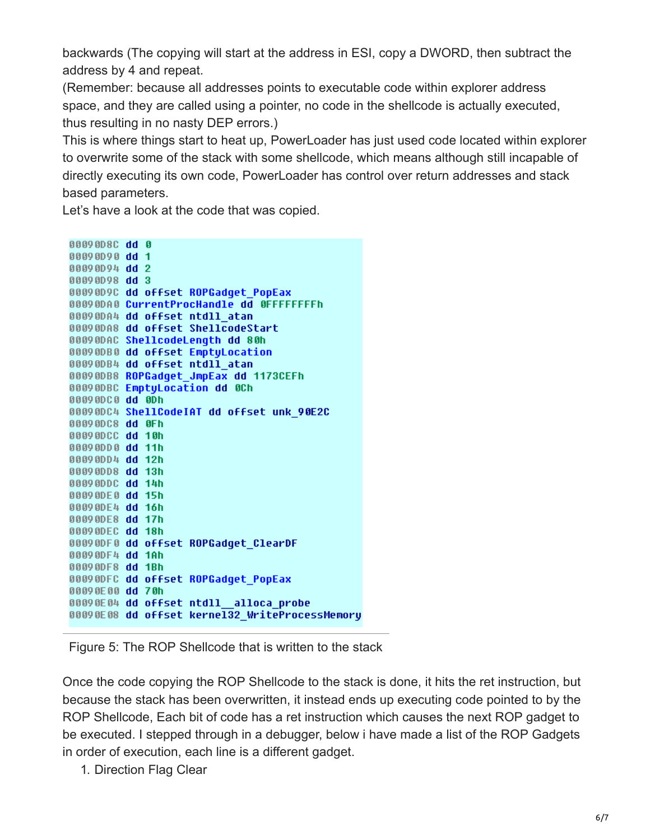backwards (The copying will start at the address in ESI, copy a DWORD, then subtract the address by 4 and repeat.

(Remember: because all addresses points to executable code within explorer address space, and they are called using a pointer, no code in the shellcode is actually executed, thus resulting in no nasty DEP errors.)

This is where things start to heat up, PowerLoader has just used code located within explorer to overwrite some of the stack with some shellcode, which means although still incapable of directly executing its own code, PowerLoader has control over return addresses and stack based parameters.

Let's have a look at the code that was copied.

```
00090D8C dd 0
00090D90 dd 1
00090D94 dd 2
00090D98 dd 3
00090D9C dd offset ROPGadget PopEax
00090DA0 CurrentProcHandle dd OFFFFFFFFh
00090DA4 dd offset ntdll atan
00090DA8 dd offset ShellcodeStart
00090DAC ShellcodeLength dd 80h
00090DB0 dd offset EmptyLocation
00090DB4 dd offset ntdll atan
00090DB8 ROPGadget_JmpEax dd 1173CEFh
00090DBC EmptyLocation dd 0Ch
00090DC0 dd 0Dh
00090DC4 ShellCodeIAT dd offset unk 90E2C
00090DC8 dd 0Fh
00090DCC dd 10h
00090DD0 dd 11h
00090DD4 dd 12h
00090DD8 dd 13h
00090DDC dd 14h
00090DE0 dd 15h
00090DE4 dd 16h
00090DE8 dd 17h
00090DEC dd 18h
00090DF0 dd offset ROPGadqet ClearDF
00090DF4 dd 1Ah
00090DF8 dd 1Bh
00090DFC dd offset ROPGadget PopEax
00090E00 dd 70h
00090E04 dd offset ntdll alloca probe
00090E08 dd offset kernel32 WriteProcessMemory
```
Figure 5: The ROP Shellcode that is written to the stack

Once the code copying the ROP Shellcode to the stack is done, it hits the ret instruction, but because the stack has been overwritten, it instead ends up executing code pointed to by the ROP Shellcode, Each bit of code has a ret instruction which causes the next ROP gadget to be executed. I stepped through in a debugger, below i have made a list of the ROP Gadgets in order of execution, each line is a different gadget.

1. Direction Flag Clear